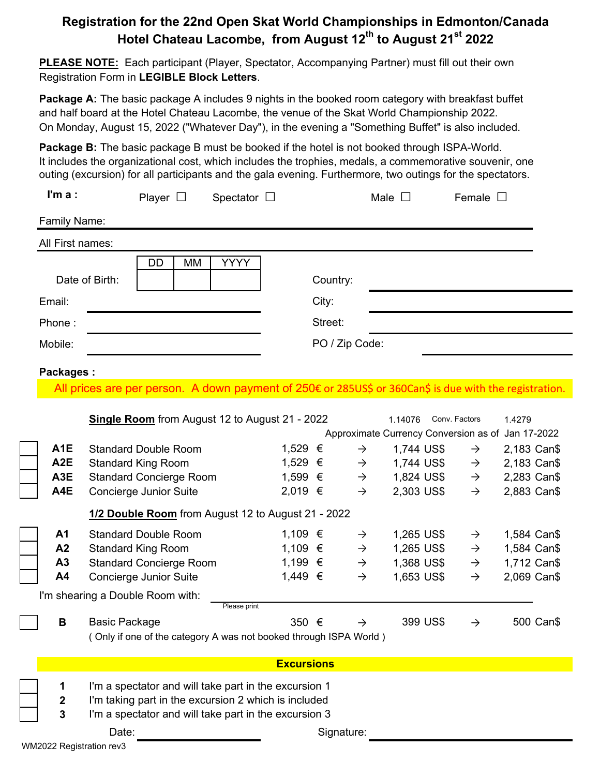## **Registration for the 22nd Open Skat World Championships in Edmonton/Canada Hotel Chateau Lacom**b**e, from August 12th to August 21st 2022**

**PLEASE NOTE:** Each participant (Player, Spectator, Accompanying Partner) must fill out their own Registration Form in **LEGIBLE Block Letters**.

**Package A:** The basic package A includes 9 nights in the booked room category with breakfast buffet and half board at the Hotel Chateau Lacombe, the venue of the Skat World Championship 2022. On Monday, August 15, 2022 ("Whatever Day"), in the evening a "Something Buffet" is also included.

**Package B:** The basic package B must be booked if the hotel is not booked through ISPA-World. It includes the organizational cost, which includes the trophies, medals, a commemorative souvenir, one outing (excursion) for all participants and the gala evening. Furthermore, two outings for the spectators.

| I'm $a$ :                                                         | Player $\Box$                                                                                          | Spectator $\square$ |                   |                |               | Male $\square$ |               | Female $\square$ |                                                   |           |
|-------------------------------------------------------------------|--------------------------------------------------------------------------------------------------------|---------------------|-------------------|----------------|---------------|----------------|---------------|------------------|---------------------------------------------------|-----------|
| Family Name:                                                      |                                                                                                        |                     |                   |                |               |                |               |                  |                                                   |           |
| All First names:                                                  |                                                                                                        |                     |                   |                |               |                |               |                  |                                                   |           |
|                                                                   | DD<br>МM                                                                                               | <b>YYYY</b>         |                   |                |               |                |               |                  |                                                   |           |
|                                                                   | Date of Birth:                                                                                         |                     |                   | Country:       |               |                |               |                  |                                                   |           |
| Email:                                                            |                                                                                                        |                     |                   | City:          |               |                |               |                  |                                                   |           |
| Phone:                                                            |                                                                                                        |                     |                   | Street:        |               |                |               |                  |                                                   |           |
| Mobile:                                                           |                                                                                                        |                     |                   | PO / Zip Code: |               |                |               |                  |                                                   |           |
|                                                                   |                                                                                                        |                     |                   |                |               |                |               |                  |                                                   |           |
| <b>Packages:</b>                                                  |                                                                                                        |                     |                   |                |               |                |               |                  |                                                   |           |
|                                                                   | All prices are per person. A down payment of 250€ or 285US\$ or 360Can\$ is due with the registration. |                     |                   |                |               |                |               |                  |                                                   |           |
|                                                                   | Single Room from August 12 to August 21 - 2022                                                         |                     |                   |                |               | 1.14076        | Conv. Factors |                  | 1.4279                                            |           |
|                                                                   |                                                                                                        |                     |                   |                |               |                |               |                  | Approximate Currency Conversion as of Jan 17-2022 |           |
| A <sub>1E</sub>                                                   | <b>Standard Double Room</b>                                                                            |                     | 1,529 €           |                | $\rightarrow$ | 1,744 US\$     |               | $\rightarrow$    | 2,183 Can\$                                       |           |
| A <sub>2</sub> E                                                  | <b>Standard King Room</b>                                                                              |                     | 1,529 €           |                | $\rightarrow$ | 1,744 US\$     |               | $\rightarrow$    | 2,183 Can\$                                       |           |
| A <sub>3</sub> E                                                  | <b>Standard Concierge Room</b>                                                                         |                     | 1,599 €           |                | $\rightarrow$ | 1,824 US\$     |               | $\rightarrow$    | 2,283 Can\$                                       |           |
| A4E                                                               | <b>Concierge Junior Suite</b>                                                                          |                     | 2,019 €           |                | $\rightarrow$ | 2,303 US\$     |               | $\rightarrow$    | 2,883 Can\$                                       |           |
|                                                                   | 1/2 Double Room from August 12 to August 21 - 2022                                                     |                     |                   |                |               |                |               |                  |                                                   |           |
| A <sub>1</sub>                                                    | <b>Standard Double Room</b>                                                                            |                     | 1,109 €           |                | $\rightarrow$ | 1,265 US\$     |               | $\rightarrow$    | 1,584 Can\$                                       |           |
| A2                                                                | <b>Standard King Room</b>                                                                              |                     | 1,109 €           |                | $\rightarrow$ | 1,265 US\$     |               | $\rightarrow$    | 1,584 Can\$                                       |           |
| A3                                                                | <b>Standard Concierge Room</b>                                                                         | 1,199 €             |                   | $\rightarrow$  | 1,368 US\$    |                | $\rightarrow$ | 1,712 Can\$      |                                                   |           |
| A4                                                                | <b>Concierge Junior Suite</b>                                                                          |                     | 1,449 €           |                | $\rightarrow$ | 1,653 US\$     |               | $\rightarrow$    | 2,069 Can\$                                       |           |
|                                                                   | I'm shearing a Double Room with:                                                                       |                     |                   |                |               |                |               |                  |                                                   |           |
|                                                                   |                                                                                                        | Please print        |                   |                |               |                |               |                  |                                                   |           |
| В                                                                 | <b>Basic Package</b>                                                                                   |                     | 350 €             |                | $\rightarrow$ | 399 US\$       |               |                  |                                                   | 500 Can\$ |
| (Only if one of the category A was not booked through ISPA World) |                                                                                                        |                     |                   |                |               |                |               |                  |                                                   |           |
|                                                                   |                                                                                                        |                     | <b>Excursions</b> |                |               |                |               |                  |                                                   |           |
| 1                                                                 | I'm a spectator and will take part in the excursion 1                                                  |                     |                   |                |               |                |               |                  |                                                   |           |
| $\boldsymbol{2}$                                                  | I'm taking part in the excursion 2 which is included                                                   |                     |                   |                |               |                |               |                  |                                                   |           |
| 3                                                                 | I'm a spectator and will take part in the excursion 3                                                  |                     |                   |                |               |                |               |                  |                                                   |           |
| Date:<br>Signature:                                               |                                                                                                        |                     |                   |                |               |                |               |                  |                                                   |           |
| <b>VM2022 Registration rev3</b>                                   |                                                                                                        |                     |                   |                |               |                |               |                  |                                                   |           |